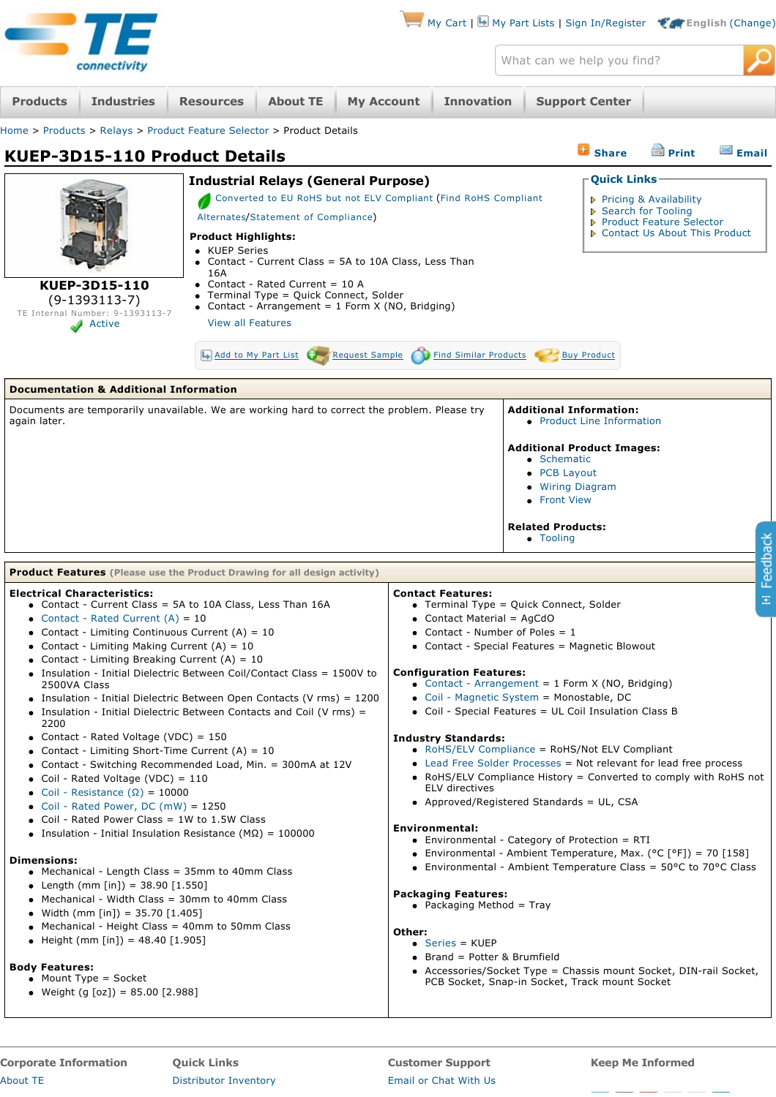| T                                                                                                                                                                                                                                                                                                                                                                                                                                                                                                                                                                                                                                                                                                                                                                                                                                                        |                                                                                                                                                                                                                                                                                                                                                                                                                                                                                                            | My Cart   My Part Lists   Sign In/Register ( English (Change)                                                                                                                                                                                                                                                                                                                                                                                                                                                                                                                                                                                                                                                                                                                                                                                                                                                                                                                         |                            |                                                                                                                                                               |              |          |  |
|----------------------------------------------------------------------------------------------------------------------------------------------------------------------------------------------------------------------------------------------------------------------------------------------------------------------------------------------------------------------------------------------------------------------------------------------------------------------------------------------------------------------------------------------------------------------------------------------------------------------------------------------------------------------------------------------------------------------------------------------------------------------------------------------------------------------------------------------------------|------------------------------------------------------------------------------------------------------------------------------------------------------------------------------------------------------------------------------------------------------------------------------------------------------------------------------------------------------------------------------------------------------------------------------------------------------------------------------------------------------------|---------------------------------------------------------------------------------------------------------------------------------------------------------------------------------------------------------------------------------------------------------------------------------------------------------------------------------------------------------------------------------------------------------------------------------------------------------------------------------------------------------------------------------------------------------------------------------------------------------------------------------------------------------------------------------------------------------------------------------------------------------------------------------------------------------------------------------------------------------------------------------------------------------------------------------------------------------------------------------------|----------------------------|---------------------------------------------------------------------------------------------------------------------------------------------------------------|--------------|----------|--|
| connectivity                                                                                                                                                                                                                                                                                                                                                                                                                                                                                                                                                                                                                                                                                                                                                                                                                                             |                                                                                                                                                                                                                                                                                                                                                                                                                                                                                                            |                                                                                                                                                                                                                                                                                                                                                                                                                                                                                                                                                                                                                                                                                                                                                                                                                                                                                                                                                                                       | What can we help you find? |                                                                                                                                                               |              |          |  |
| <b>Industries</b><br><b>Products</b>                                                                                                                                                                                                                                                                                                                                                                                                                                                                                                                                                                                                                                                                                                                                                                                                                     | <b>My Account</b><br><b>Resources</b><br><b>About TE</b>                                                                                                                                                                                                                                                                                                                                                                                                                                                   | <b>Innovation</b>                                                                                                                                                                                                                                                                                                                                                                                                                                                                                                                                                                                                                                                                                                                                                                                                                                                                                                                                                                     | <b>Support Center</b>      |                                                                                                                                                               |              |          |  |
| Home > Products > Relays > Product Feature Selector > Product Details                                                                                                                                                                                                                                                                                                                                                                                                                                                                                                                                                                                                                                                                                                                                                                                    |                                                                                                                                                                                                                                                                                                                                                                                                                                                                                                            |                                                                                                                                                                                                                                                                                                                                                                                                                                                                                                                                                                                                                                                                                                                                                                                                                                                                                                                                                                                       |                            |                                                                                                                                                               |              |          |  |
| <b>KUEP-3D15-110 Product Details</b>                                                                                                                                                                                                                                                                                                                                                                                                                                                                                                                                                                                                                                                                                                                                                                                                                     |                                                                                                                                                                                                                                                                                                                                                                                                                                                                                                            |                                                                                                                                                                                                                                                                                                                                                                                                                                                                                                                                                                                                                                                                                                                                                                                                                                                                                                                                                                                       |                            | <b>B</b> Share                                                                                                                                                | <b>Print</b> | Email    |  |
| KUEP-3D15-110<br>$(9-1393113-7)$<br>TE Internal Number: 9-1393113-7<br>Active                                                                                                                                                                                                                                                                                                                                                                                                                                                                                                                                                                                                                                                                                                                                                                            | <b>Industrial Relays (General Purpose)</b><br>Converted to EU RoHS but not ELV Compliant (Find RoHS Compliant<br>Alternates/Statement of Compliance)<br><b>Product Highlights:</b><br>• KUEP Series<br>• Contact - Current Class = 5A to 10A Class, Less Than<br>16A<br>• Contact - Rated Current = $10 A$<br>Terminal Type = Quick Connect, Solder<br>• Contact - Arrangement = 1 Form X (NO, Bridging)<br><b>View all Features</b><br><b>Find Similar Products</b><br>Add to My Part List Request Sample |                                                                                                                                                                                                                                                                                                                                                                                                                                                                                                                                                                                                                                                                                                                                                                                                                                                                                                                                                                                       |                            | <b>Ouick Links</b><br>▶ Pricing & Availability<br>▶ Search for Tooling<br>▶ Product Feature Selector<br>▶ Contact Us About This Product<br><b>Buy Product</b> |              |          |  |
|                                                                                                                                                                                                                                                                                                                                                                                                                                                                                                                                                                                                                                                                                                                                                                                                                                                          |                                                                                                                                                                                                                                                                                                                                                                                                                                                                                                            |                                                                                                                                                                                                                                                                                                                                                                                                                                                                                                                                                                                                                                                                                                                                                                                                                                                                                                                                                                                       |                            |                                                                                                                                                               |              |          |  |
| <b>Documentation &amp; Additional Information</b><br>Documents are temporarily unavailable. We are working hard to correct the problem. Please try<br>again later.                                                                                                                                                                                                                                                                                                                                                                                                                                                                                                                                                                                                                                                                                       |                                                                                                                                                                                                                                                                                                                                                                                                                                                                                                            | <b>Additional Information:</b><br>• Product Line Information<br><b>Additional Product Images:</b><br>• Schematic<br>$\bullet$ PCB Layout<br>• Wiring Diagram<br>• Front View<br><b>Related Products:</b>                                                                                                                                                                                                                                                                                                                                                                                                                                                                                                                                                                                                                                                                                                                                                                              |                            |                                                                                                                                                               |              |          |  |
|                                                                                                                                                                                                                                                                                                                                                                                                                                                                                                                                                                                                                                                                                                                                                                                                                                                          | <b>Product Features</b> (Please use the Product Drawing for all design activity)                                                                                                                                                                                                                                                                                                                                                                                                                           |                                                                                                                                                                                                                                                                                                                                                                                                                                                                                                                                                                                                                                                                                                                                                                                                                                                                                                                                                                                       | • Tooling                  |                                                                                                                                                               |              | Feedback |  |
| <b>Electrical Characteristics:</b><br>• Contact - Current Class = 5A to 10A Class, Less Than 16A<br>• Contact - Rated Current $(A) = 10$<br>• Contact - Limiting Continuous Current $(A) = 10$<br>• Contact - Limiting Making Current $(A) = 10$<br>• Contact - Limiting Breaking Current $(A) = 10$<br>2500VA Class<br>2200<br>• Contact - Rated Voltage (VDC) = 150<br>• Contact - Limiting Short-Time Current $(A) = 10$<br>• Coil - Rated Voltage (VDC) = $110$<br>• Coil - Resistance $(\Omega) = 10000$<br>• Coil - Rated Power, DC $(mW) = 1250$<br>• Coil - Rated Power Class = $1W$ to $1.5W$ Class<br>• Insulation - Initial Insulation Resistance ( $M\Omega$ ) = 100000<br><b>Dimensions:</b><br>• Mechanical - Length Class = 35mm to 40mm Class<br>• Length (mm [in]) = $38.90$ [1.550]<br>• Mechanical - Width Class = 30mm to 40mm Class | • Insulation - Initial Dielectric Between Coil/Contact Class = 1500V to<br>• Insulation - Initial Dielectric Between Open Contacts (V rms) = 1200<br>• Insulation - Initial Dielectric Between Contacts and Coil (V rms) =<br>• Contact - Switching Recommended Load, Min. = 300mA at 12V<br>• Width (mm [in]) = 35.70 $[1.405]$                                                                                                                                                                           | <b>Contact Features:</b><br>• Terminal Type = Quick Connect, Solder<br>• Contact Material = AgCdO<br>• Contact - Number of Poles = $1$<br>• Contact - Special Features = Magnetic Blowout<br><b>Configuration Features:</b><br>• Contact - Arrangement = $1$ Form X (NO, Bridging)<br>• Coil - Magnetic System = Monostable, DC<br>• Coil - Special Features = UL Coil Insulation Class B<br><b>Industry Standards:</b><br>• RoHS/ELV Compliance = RoHS/Not ELV Compliant<br>• Lead Free Solder Processes = Not relevant for lead free process<br>• RoHS/ELV Compliance History = Converted to comply with RoHS not<br>ELV directives<br>• Approved/Registered Standards = UL, CSA<br><b>Environmental:</b><br>• Environmental - Category of Protection = RTI<br>• Environmental - Ambient Temperature, Max. (°C [°F]) = 70 [158]<br>• Environmental - Ambient Temperature Class = $50^{\circ}$ C to 70 $^{\circ}$ C Class<br><b>Packaging Features:</b><br>• Packaging Method = Tray |                            |                                                                                                                                                               |              | $\Xi$    |  |

<span id="page-0-0"></span>**Quick Links** [Distributor Inventory](http://www.te.com/commerce/sck/cdi.do)

**Customer Support** [Email or Chat With Us](http://www.te.com/support-center/) **Keep Me Informed**